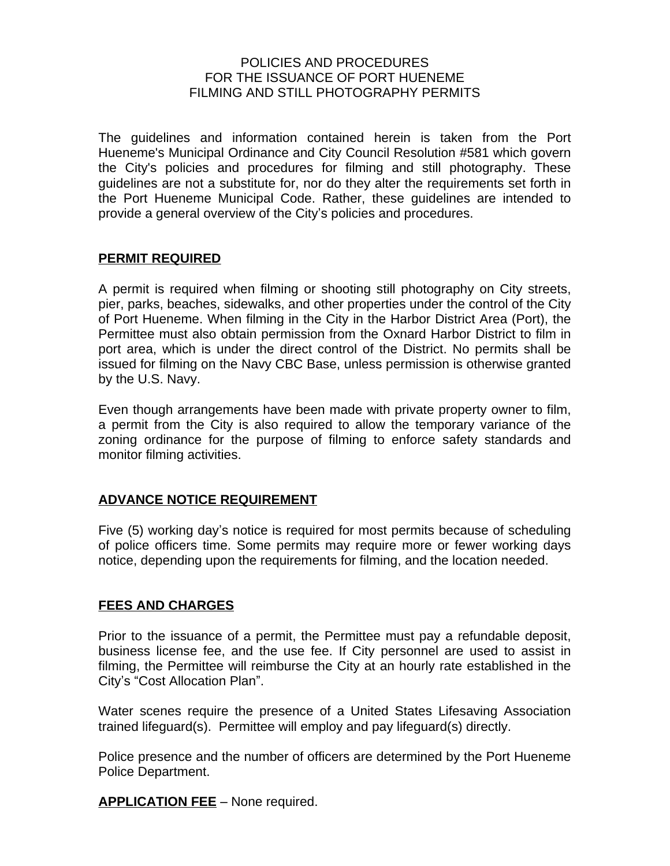#### POLICIES AND PROCEDURES FOR THE ISSUANCE OF PORT HUENEME FILMING AND STILL PHOTOGRAPHY PERMITS

The guidelines and information contained herein is taken from the Port Hueneme's Municipal Ordinance and City Council Resolution #581 which govern the City's policies and procedures for filming and still photography. These guidelines are not a substitute for, nor do they alter the requirements set forth in the Port Hueneme Municipal Code. Rather, these guidelines are intended to provide a general overview of the City's policies and procedures.

### **PERMIT REQUIRED**

A permit is required when filming or shooting still photography on City streets, pier, parks, beaches, sidewalks, and other properties under the control of the City of Port Hueneme. When filming in the City in the Harbor District Area (Port), the Permittee must also obtain permission from the Oxnard Harbor District to film in port area, which is under the direct control of the District. No permits shall be issued for filming on the Navy CBC Base, unless permission is otherwise granted by the U.S. Navy.

Even though arrangements have been made with private property owner to film, a permit from the City is also required to allow the temporary variance of the zoning ordinance for the purpose of filming to enforce safety standards and monitor filming activities.

### **ADVANCE NOTICE REQUIREMENT**

Five (5) working day's notice is required for most permits because of scheduling of police officers time. Some permits may require more or fewer working days notice, depending upon the requirements for filming, and the location needed.

### **FEES AND CHARGES**

Prior to the issuance of a permit, the Permittee must pay a refundable deposit, business license fee, and the use fee. If City personnel are used to assist in filming, the Permittee will reimburse the City at an hourly rate established in the City's "Cost Allocation Plan".

Water scenes require the presence of a United States Lifesaving Association trained lifeguard(s). Permittee will employ and pay lifeguard(s) directly.

Police presence and the number of officers are determined by the Port Hueneme Police Department.

**APPLICATION FEE** – None required.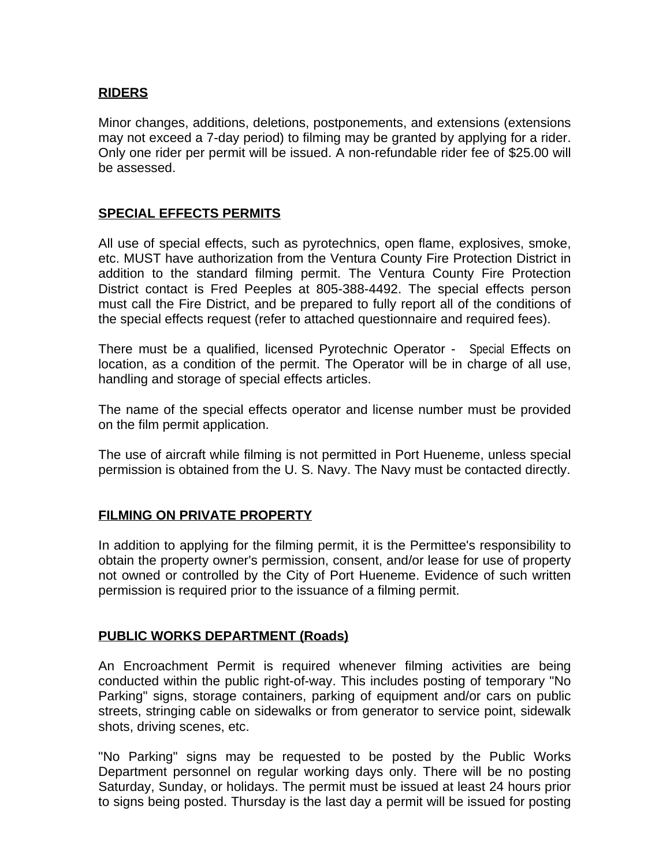## **RIDERS**

Minor changes, additions, deletions, postponements, and extensions (extensions may not exceed a 7-day period) to filming may be granted by applying for a rider. Only one rider per permit will be issued. A non-refundable rider fee of \$25.00 will be assessed.

#### **SPECIAL EFFECTS PERMITS**

All use of special effects, such as pyrotechnics, open flame, explosives, smoke, etc. MUST have authorization from the Ventura County Fire Protection District in addition to the standard filming permit. The Ventura County Fire Protection District contact is Fred Peeples at 805-388-4492. The special effects person must call the Fire District, and be prepared to fully report all of the conditions of the special effects request (refer to attached questionnaire and required fees).

There must be a qualified, licensed Pyrotechnic Operator - Special Effects on location, as a condition of the permit. The Operator will be in charge of all use, handling and storage of special effects articles.

The name of the special effects operator and license number must be provided on the film permit application.

The use of aircraft while filming is not permitted in Port Hueneme, unless special permission is obtained from the U. S. Navy. The Navy must be contacted directly.

### **FILMING ON PRIVATE PROPERTY**

In addition to applying for the filming permit, it is the Permittee's responsibility to obtain the property owner's permission, consent, and/or lease for use of property not owned or controlled by the City of Port Hueneme. Evidence of such written permission is required prior to the issuance of a filming permit.

### **PUBLIC WORKS DEPARTMENT (Roads)**

An Encroachment Permit is required whenever filming activities are being conducted within the public right-of-way. This includes posting of temporary "No Parking" signs, storage containers, parking of equipment and/or cars on public streets, stringing cable on sidewalks or from generator to service point, sidewalk shots, driving scenes, etc.

"No Parking" signs may be requested to be posted by the Public Works Department personnel on regular working days only. There will be no posting Saturday, Sunday, or holidays. The permit must be issued at least 24 hours prior to signs being posted. Thursday is the last day a permit will be issued for posting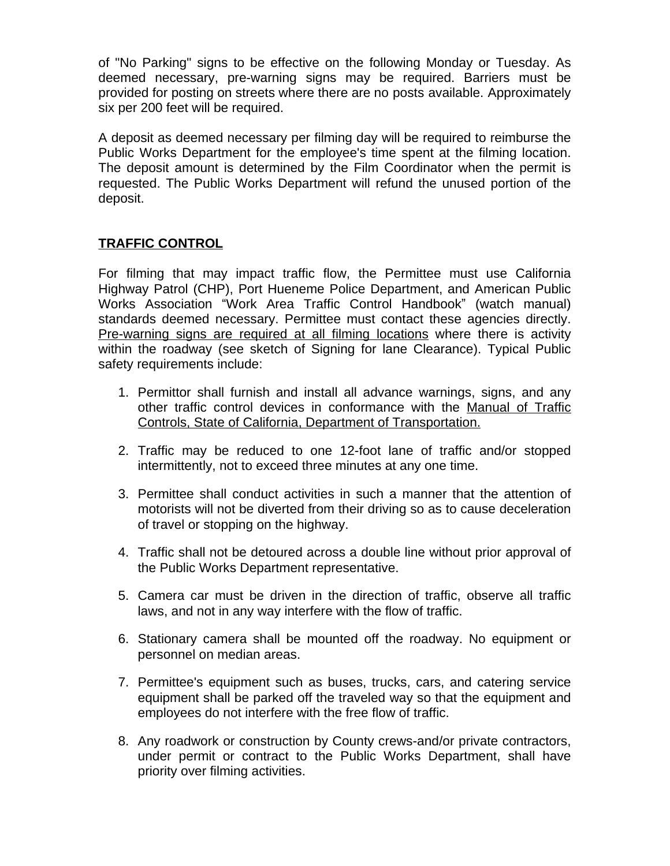of "No Parking" signs to be effective on the following Monday or Tuesday. As deemed necessary, pre-warning signs may be required. Barriers must be provided for posting on streets where there are no posts available. Approximately six per 200 feet will be required.

A deposit as deemed necessary per filming day will be required to reimburse the Public Works Department for the employee's time spent at the filming location. The deposit amount is determined by the Film Coordinator when the permit is requested. The Public Works Department will refund the unused portion of the deposit.

## **TRAFFIC CONTROL**

For filming that may impact traffic flow, the Permittee must use California Highway Patrol (CHP), Port Hueneme Police Department, and American Public Works Association "Work Area Traffic Control Handbook" (watch manual) standards deemed necessary. Permittee must contact these agencies directly. Pre-warning signs are required at all filming locations where there is activity within the roadway (see sketch of Signing for lane Clearance). Typical Public safety requirements include:

- 1. Permittor shall furnish and install all advance warnings, signs, and any other traffic control devices in conformance with the Manual of Traffic Controls, State of California, Department of Transportation.
- 2. Traffic may be reduced to one 12-foot lane of traffic and/or stopped intermittently, not to exceed three minutes at any one time.
- 3. Permittee shall conduct activities in such a manner that the attention of motorists will not be diverted from their driving so as to cause deceleration of travel or stopping on the highway.
- 4. Traffic shall not be detoured across a double line without prior approval of the Public Works Department representative.
- 5. Camera car must be driven in the direction of traffic, observe all traffic laws, and not in any way interfere with the flow of traffic.
- 6. Stationary camera shall be mounted off the roadway. No equipment or personnel on median areas.
- 7. Permittee's equipment such as buses, trucks, cars, and catering service equipment shall be parked off the traveled way so that the equipment and employees do not interfere with the free flow of traffic.
- 8. Any roadwork or construction by County crews-and/or private contractors, under permit or contract to the Public Works Department, shall have priority over filming activities.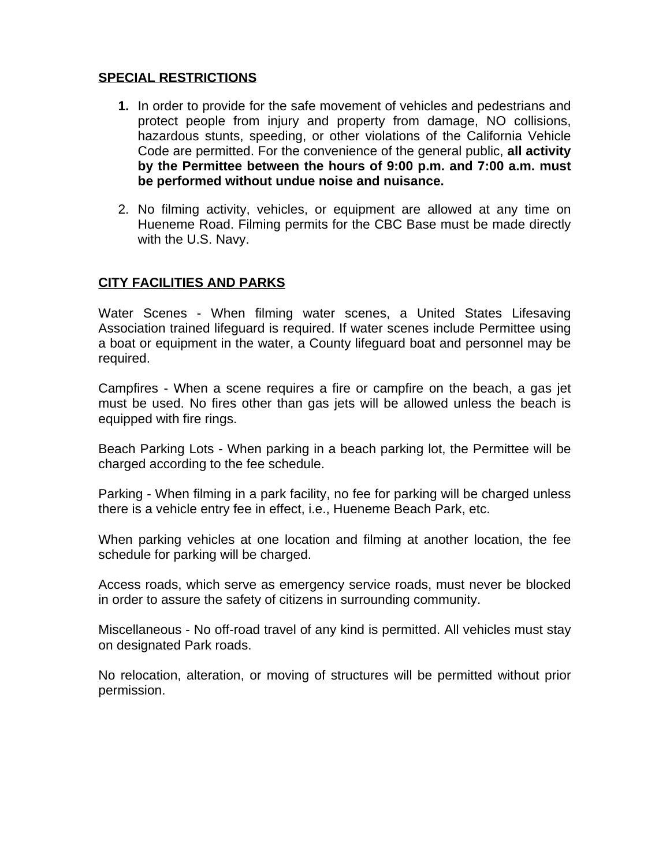### **SPECIAL RESTRICTIONS**

- **1.** In order to provide for the safe movement of vehicles and pedestrians and protect people from injury and property from damage, NO collisions, hazardous stunts, speeding, or other violations of the California Vehicle Code are permitted. For the convenience of the general public, **all activity by the Permittee between the hours of 9:00 p.m. and 7:00 a.m. must be performed without undue noise and nuisance.**
- 2. No filming activity, vehicles, or equipment are allowed at any time on Hueneme Road. Filming permits for the CBC Base must be made directly with the U.S. Navy.

# **CITY FACILITIES AND PARKS**

Water Scenes - When filming water scenes, a United States Lifesaving Association trained lifeguard is required. If water scenes include Permittee using a boat or equipment in the water, a County lifeguard boat and personnel may be required.

Campfires - When a scene requires a fire or campfire on the beach, a gas jet must be used. No fires other than gas jets will be allowed unless the beach is equipped with fire rings.

Beach Parking Lots - When parking in a beach parking lot, the Permittee will be charged according to the fee schedule.

Parking - When filming in a park facility, no fee for parking will be charged unless there is a vehicle entry fee in effect, i.e., Hueneme Beach Park, etc.

When parking vehicles at one location and filming at another location, the fee schedule for parking will be charged.

Access roads, which serve as emergency service roads, must never be blocked in order to assure the safety of citizens in surrounding community.

Miscellaneous - No off-road travel of any kind is permitted. All vehicles must stay on designated Park roads.

No relocation, alteration, or moving of structures will be permitted without prior permission.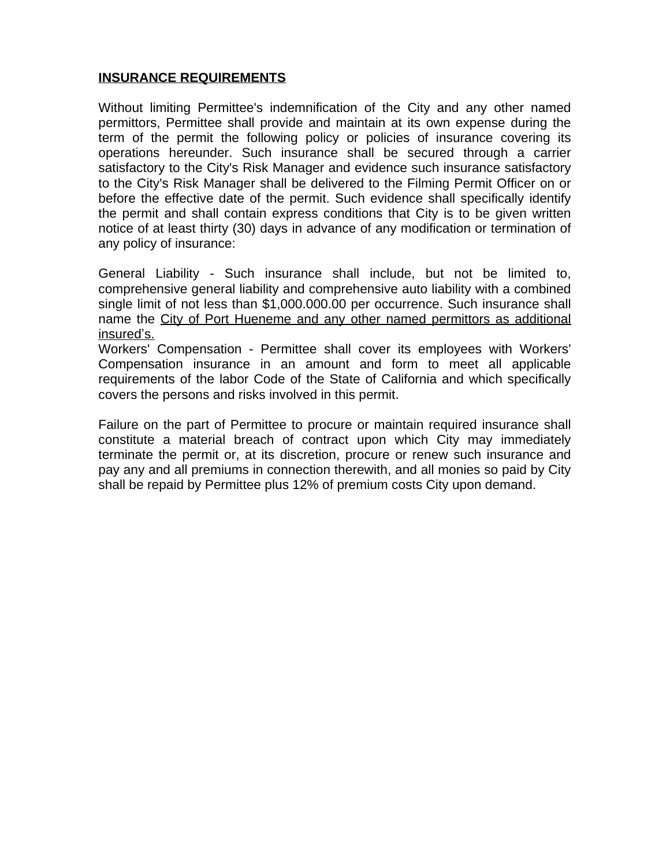### **INSURANCE REQUIREMENTS**

Without limiting Permittee's indemnification of the City and any other named permittors, Permittee shall provide and maintain at its own expense during the term of the permit the following policy or policies of insurance covering its operations hereunder. Such insurance shall be secured through a carrier satisfactory to the City's Risk Manager and evidence such insurance satisfactory to the City's Risk Manager shall be delivered to the Filming Permit Officer on or before the effective date of the permit. Such evidence shall specifically identify the permit and shall contain express conditions that City is to be given written notice of at least thirty (30) days in advance of any modification or termination of any policy of insurance:

General Liability - Such insurance shall include, but not be limited to, comprehensive general liability and comprehensive auto liability with a combined single limit of not less than \$1,000.000.00 per occurrence. Such insurance shall name the City of Port Hueneme and any other named permittors as additional insured's.

Workers' Compensation - Permittee shall cover its employees with Workers' Compensation insurance in an amount and form to meet all applicable requirements of the labor Code of the State of California and which specifically covers the persons and risks involved in this permit.

Failure on the part of Permittee to procure or maintain required insurance shall constitute a material breach of contract upon which City may immediately terminate the permit or, at its discretion, procure or renew such insurance and pay any and all premiums in connection therewith, and all monies so paid by City shall be repaid by Permittee plus 12% of premium costs City upon demand.